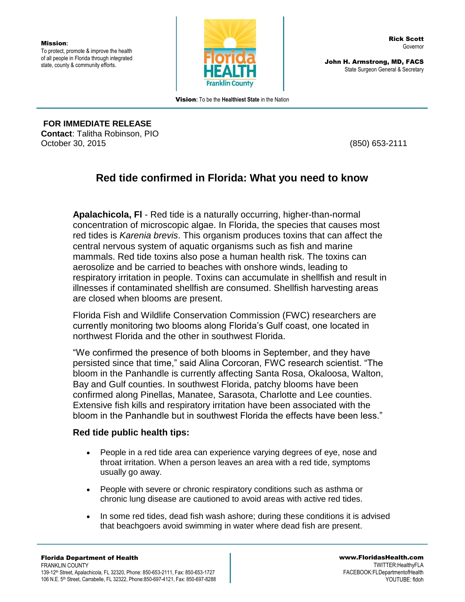Mission**:** To protect, promote & improve the health of all people in Florida through integrated state, county & community efforts.



John H. Armstrong, MD, FACS State Surgeon General & Secretary

Vision**:** To be the **Healthiest State** in the Nation

**FOR IMMEDIATE RELEASE Contact**: Talitha Robinson, PIO October 30, 2015 (850) 653-2111

## **Red tide confirmed in Florida: What you need to know**

**Apalachicola, Fl** - Red tide is a naturally occurring, higher-than-normal concentration of microscopic algae. In Florida, the species that causes most red tides is *Karenia brevis*. This organism produces toxins that can affect the central nervous system of aquatic organisms such as fish and marine mammals. Red tide toxins also pose a human health risk. The toxins can aerosolize and be carried to beaches with onshore winds, leading to respiratory irritation in people. Toxins can accumulate in shellfish and result in illnesses if contaminated shellfish are consumed. Shellfish harvesting areas are closed when blooms are present.

Florida Fish and Wildlife Conservation Commission (FWC) researchers are currently monitoring two blooms along Florida's Gulf coast, one located in northwest Florida and the other in southwest Florida.

"We confirmed the presence of both blooms in September, and they have persisted since that time," said Alina Corcoran, FWC research scientist. "The bloom in the Panhandle is currently affecting Santa Rosa, Okaloosa, Walton, Bay and Gulf counties. In southwest Florida, patchy blooms have been confirmed along Pinellas, Manatee, Sarasota, Charlotte and Lee counties. Extensive fish kills and respiratory irritation have been associated with the bloom in the Panhandle but in southwest Florida the effects have been less."

## **Red tide public health tips:**

- People in a red tide area can experience varying degrees of eye, nose and throat irritation. When a person leaves an area with a red tide, symptoms usually go away.
- People with severe or chronic respiratory conditions such as asthma or chronic lung disease are cautioned to avoid areas with active red tides.
- In some red tides, dead fish wash ashore; during these conditions it is advised that beachgoers avoid swimming in water where dead fish are present.